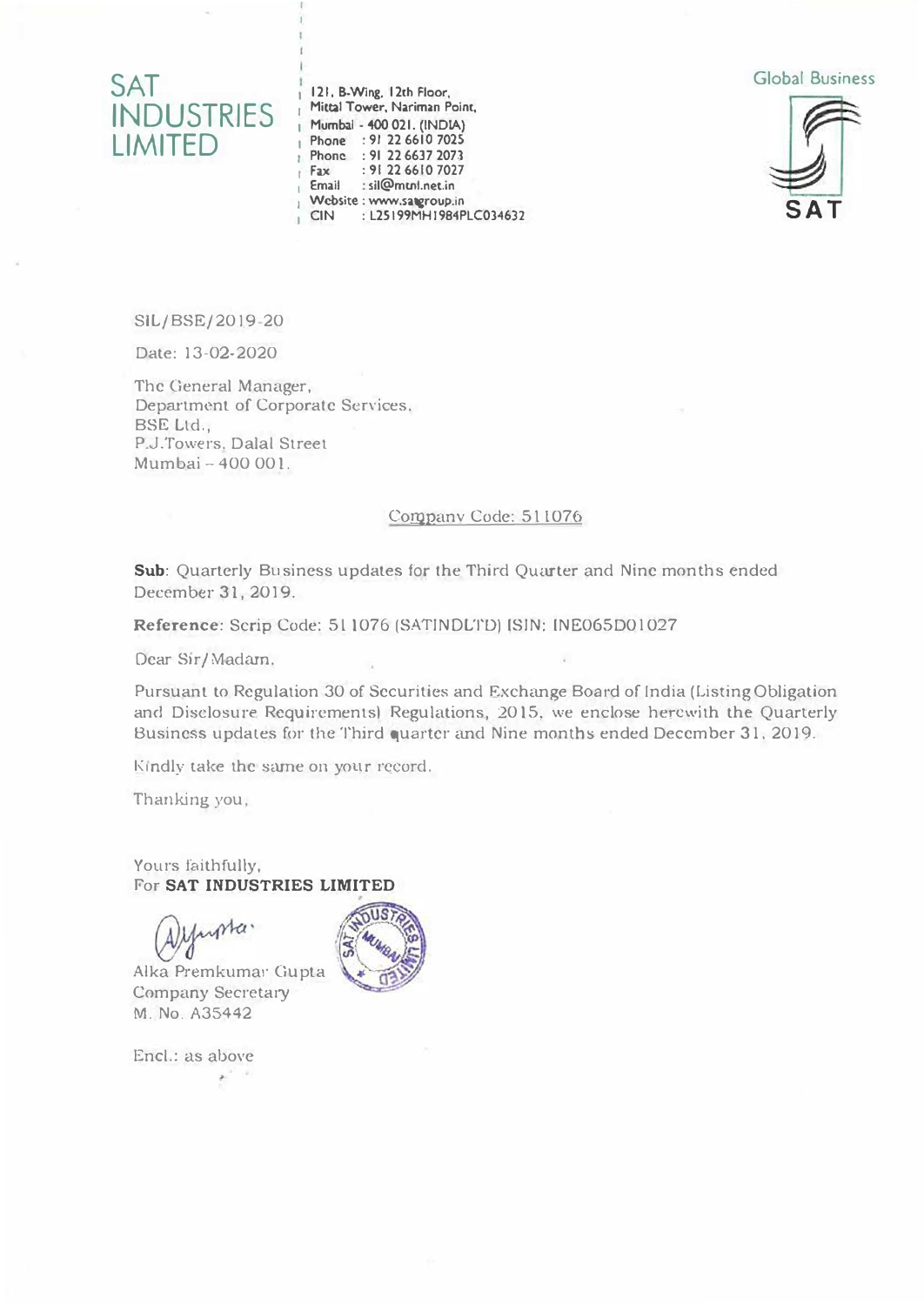

**121. 8-Wing, 12th Floor, Mittal Tower, Nariman Point, Mumbai • .4()() 021. (INOIA) Phone : 91 22 6610 7025 Phone : 91 22 6637 2073 Fax :912266107027 Email : sil@mml.net.in Website : www.uqroup.in CIN : L25 I 99MH I 984PLC03◄632** 





SIL/BSE/2019 20

Date: 13-02-2020

The General Manager, Depa<sup>r</sup> tment of Corporate Services. BSE Ltd., P.J.Towers. Dalal Street Mumbai - 400 00 I.

#### Companv Code: 511076

Sub: Quarterly Business updates for the Third Quarter and Nine months ended December 31, 2019.

**Reference:** Scrip Code: 511076 (SAT!NDLTD) IS!N: INE065D0l027

Dear Sir/Madam,

Pursuant to Regulation 30 of Securities and Exchange Board of India (Listing Obligation and Disclosure Requirements) Regulations, 2015, we enclose herewith the Quarterly Business updates for the Third quarter and Nine months ended December 31. 2019.

Kindly take the same on your record.

Thanking you,

Yours faithfully, For **SAT INDUSTRIES LIMITED**

worker

Alka Premkumar Gupta Company Secretary **M.** No. A35442

91.

Encl.: as above s.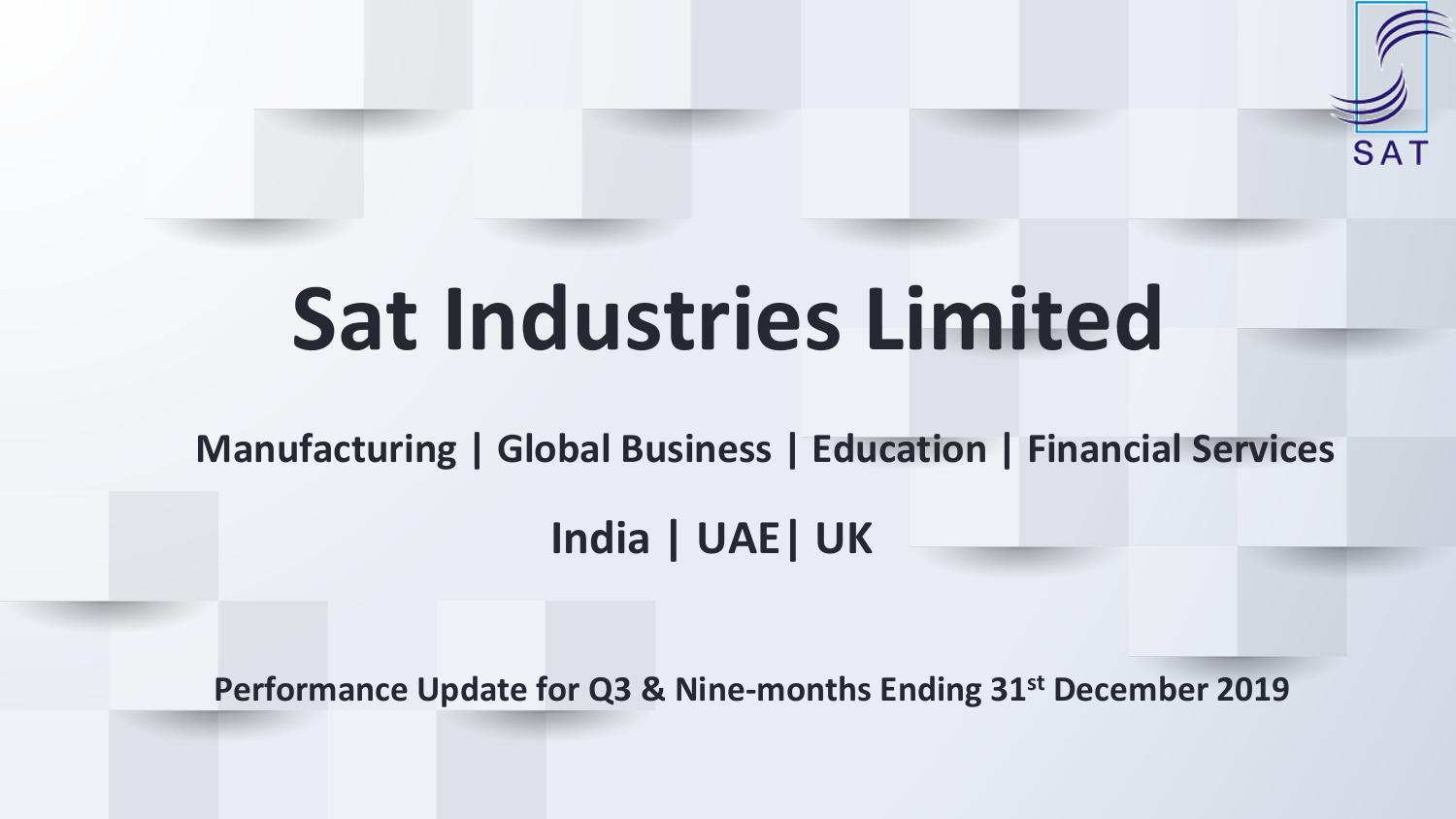# **Sat Industries Limited**

**Manufacturing | Global Business | Education | Financial Services**

SA1

**India | UAE| UK**

**Performance Update for Q3 & Nine-months Ending 31st December 2019**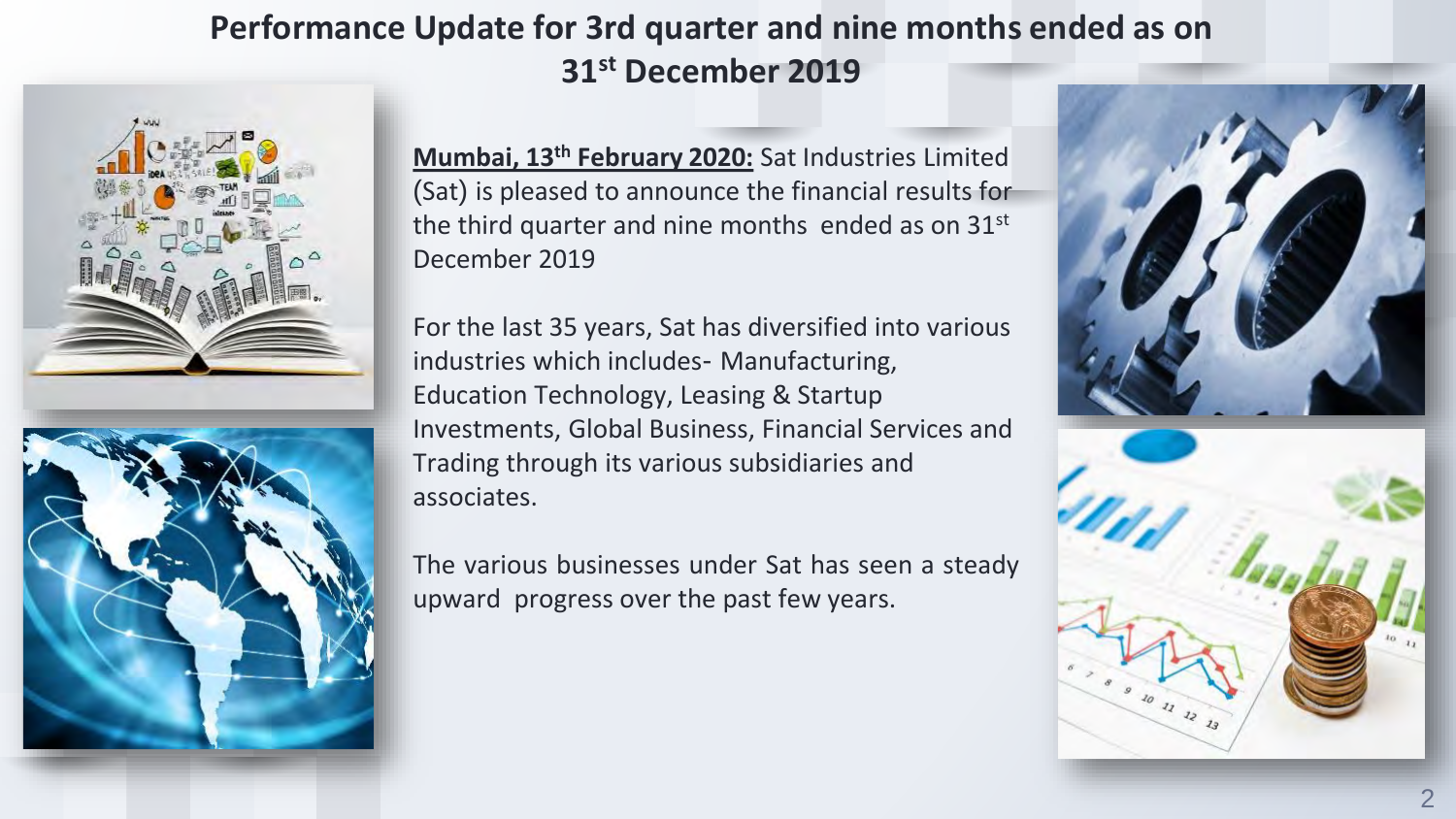#### **Performance Update for 3rd quarter and nine months ended as on 31st December 2019**



**Mumbai, 13th February 2020:** Sat Industries Limited (Sat) is pleased to announce the financial results for the third quarter and nine months ended as on 31<sup>st</sup> December 2019

For the last 35 years, Sat has diversified into various industries which includes- Manufacturing, Education Technology, Leasing & Startup Investments, Global Business, Financial Services and Trading through its various subsidiaries and associates.

The various businesses under Sat has seen a steady upward progress over the past few years.

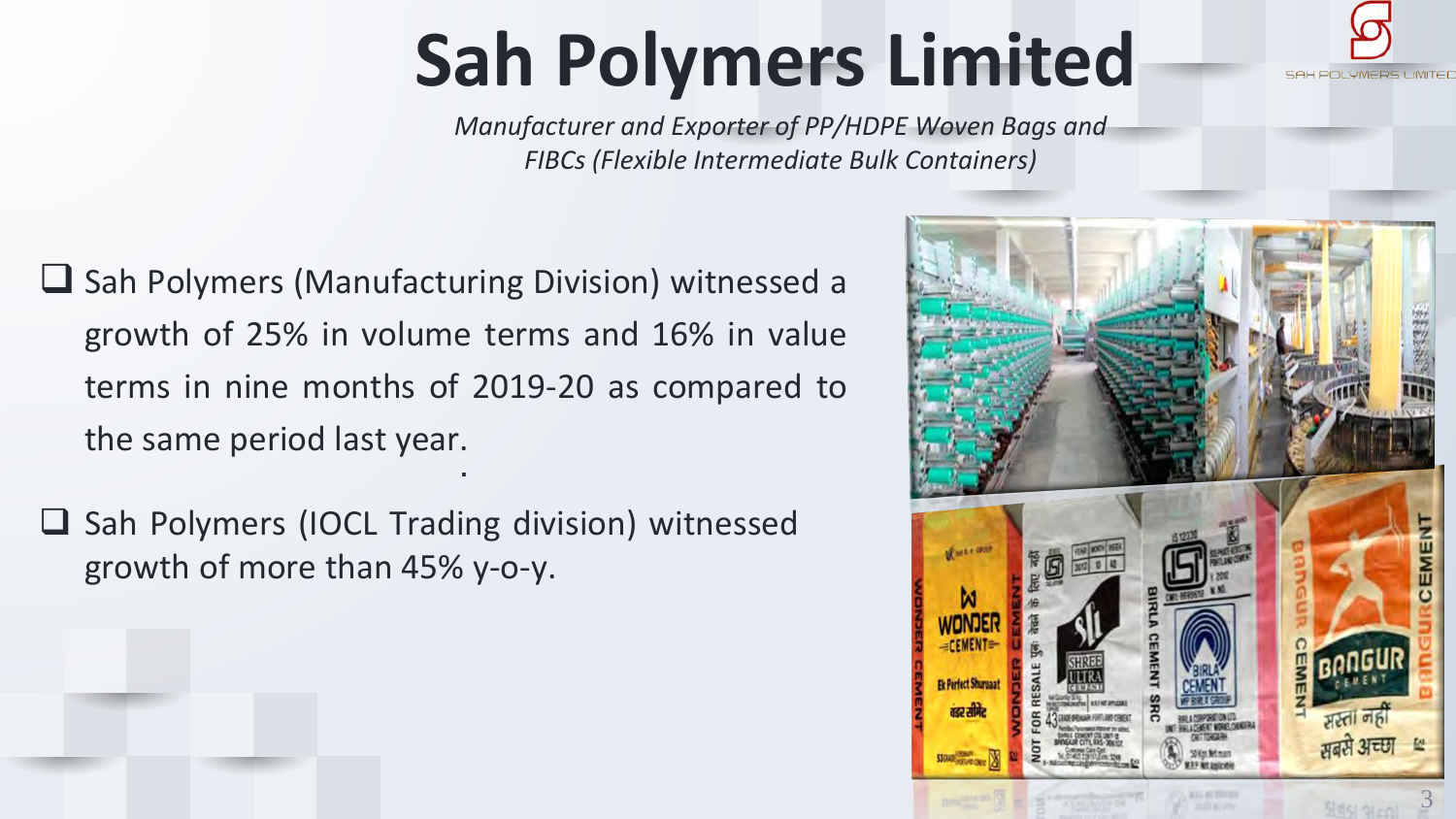# **Sah Polymers Limited**

*Manufacturer and Exporter of PP/HDPE Woven Bags and FIBCs (Flexible Intermediate Bulk Containers)*

- .  $\Box$  Sah Polymers (Manufacturing Division) witnessed a growth of 25% in volume terms and 16% in value terms in nine months of 2019-20 as compared to the same period last year.
- $\square$  Sah Polymers (IOCL Trading division) witnessed growth of more than 45% y-o-y.

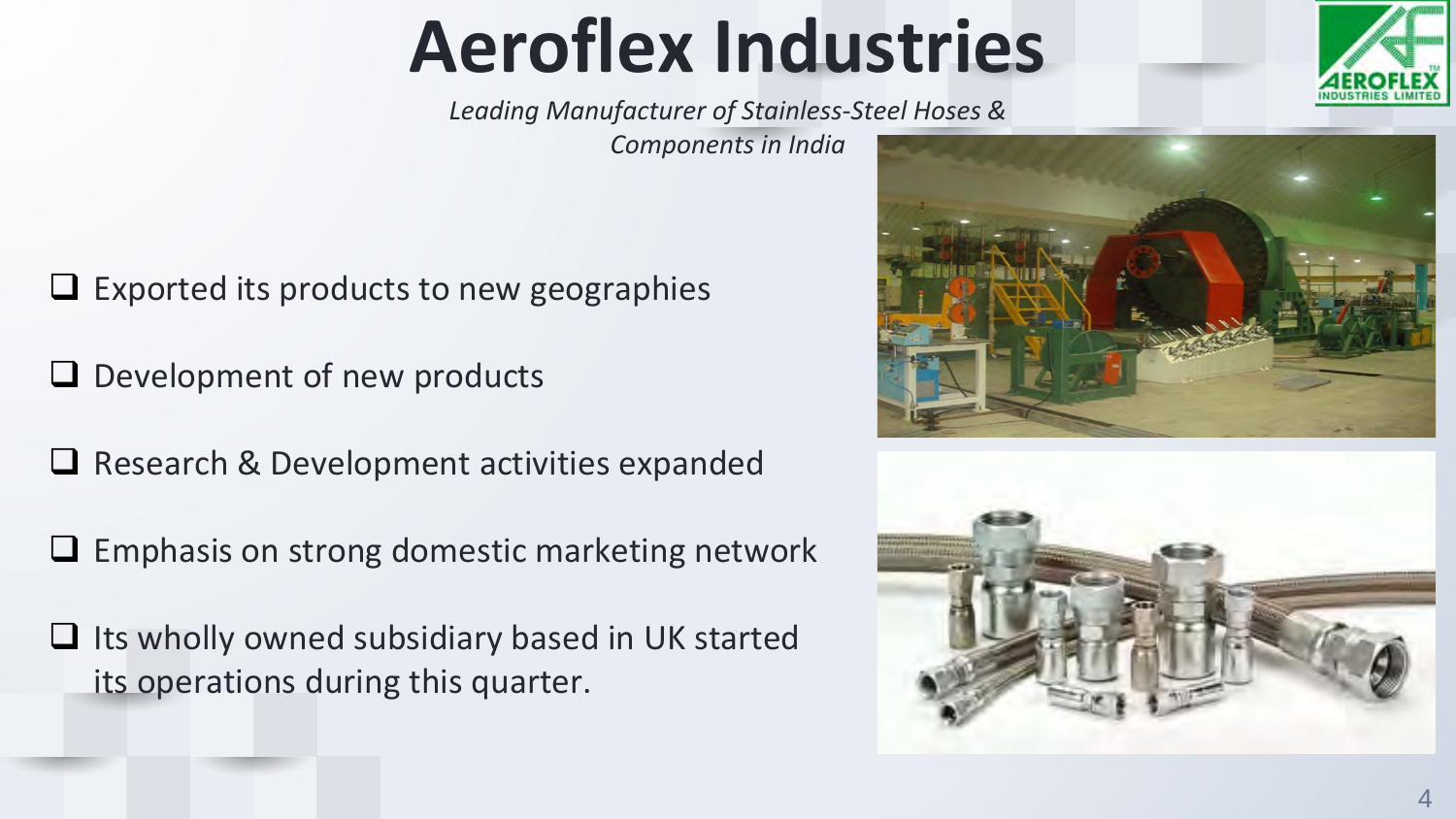## **Aeroflex Industries**

*Leading Manufacturer of Stainless-Steel Hoses &* 

*Components in India*

Exported its products to new geographies

 $\Box$  Development of new products

 $\Box$  Research & Development activities expanded

Emphasis on strong domestic marketing network

 $\Box$  Its wholly owned subsidiary based in UK started its operations during this quarter.

4





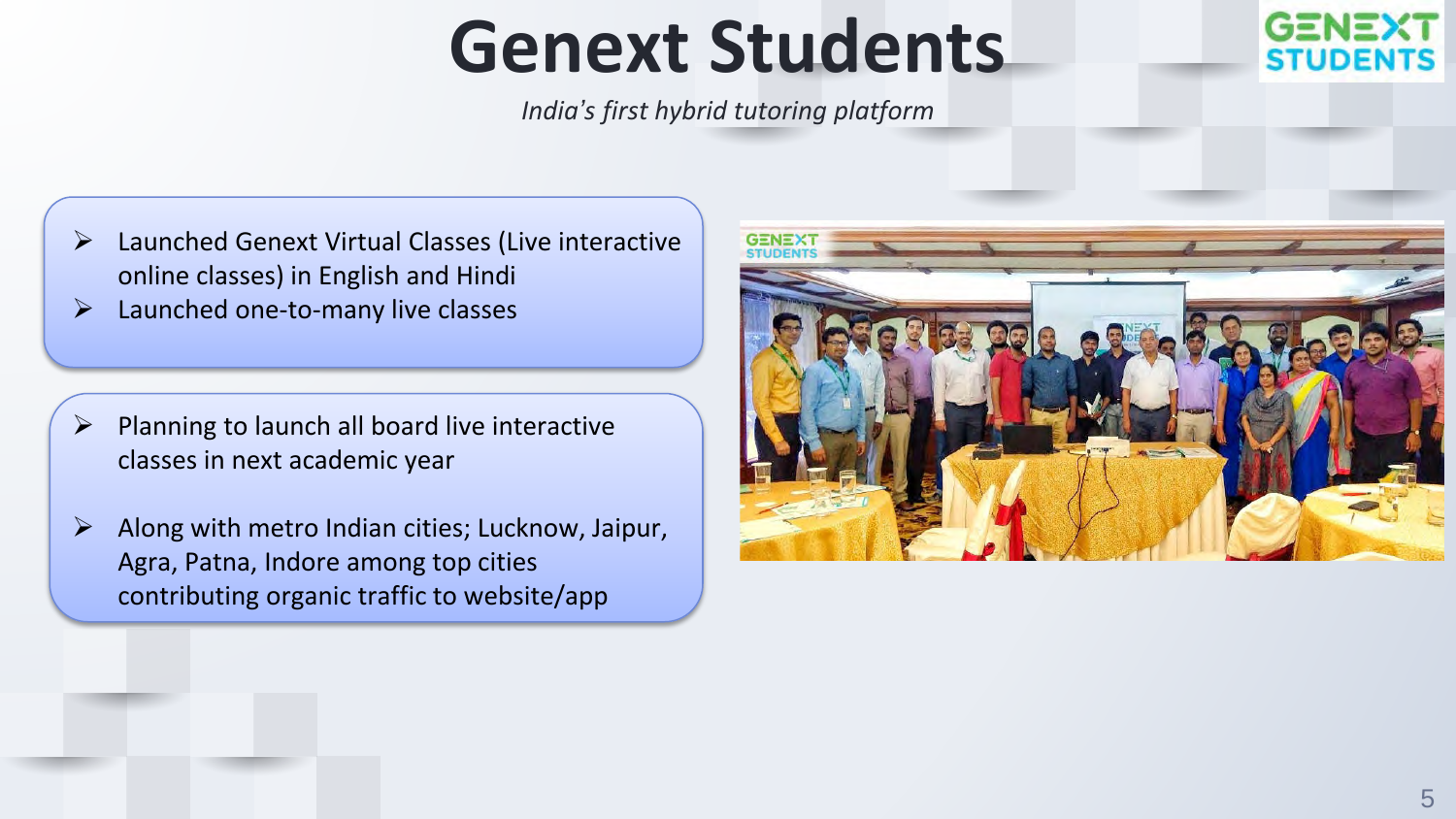### **Genext Students**

*India's first hybrid tutoring platform* 



- Launched Genext Virtual Classes (Live interactive online classes) in English and Hindi
- $\triangleright$  Launched one-to-many live classes

- Planning to launch all board live interactive classes in next academic year
- $\triangleright$  Along with metro Indian cities; Lucknow, Jaipur, Agra, Patna, Indore among top cities contributing organic traffic to website/app

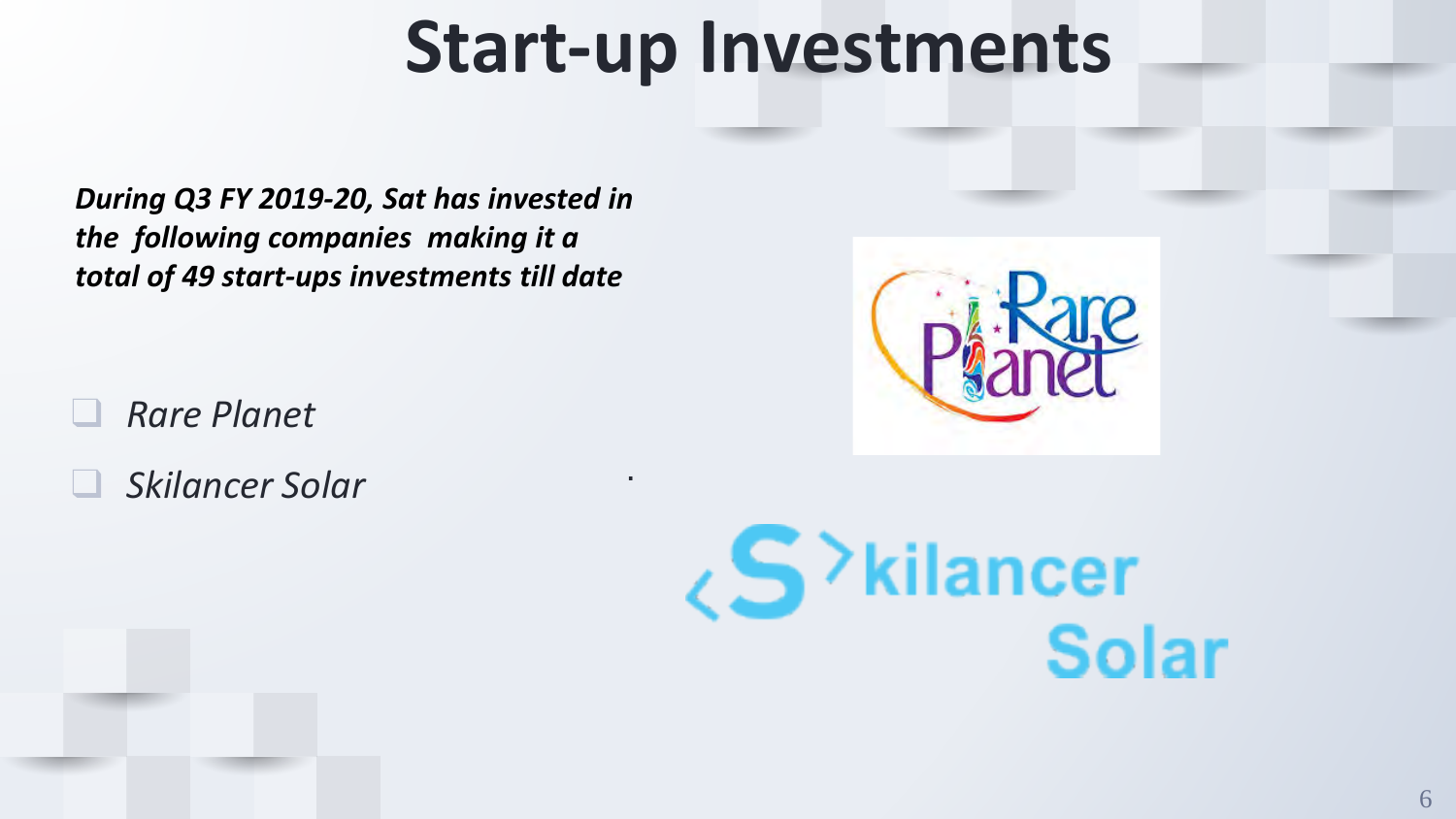### **Start-up Investments**

.

*During Q3 FY 2019-20, Sat has invested in the following companies making it a total of 49 start-ups investments till date* 

- ❑ *Rare Planet*
- ❑ *Skilancer Solar*



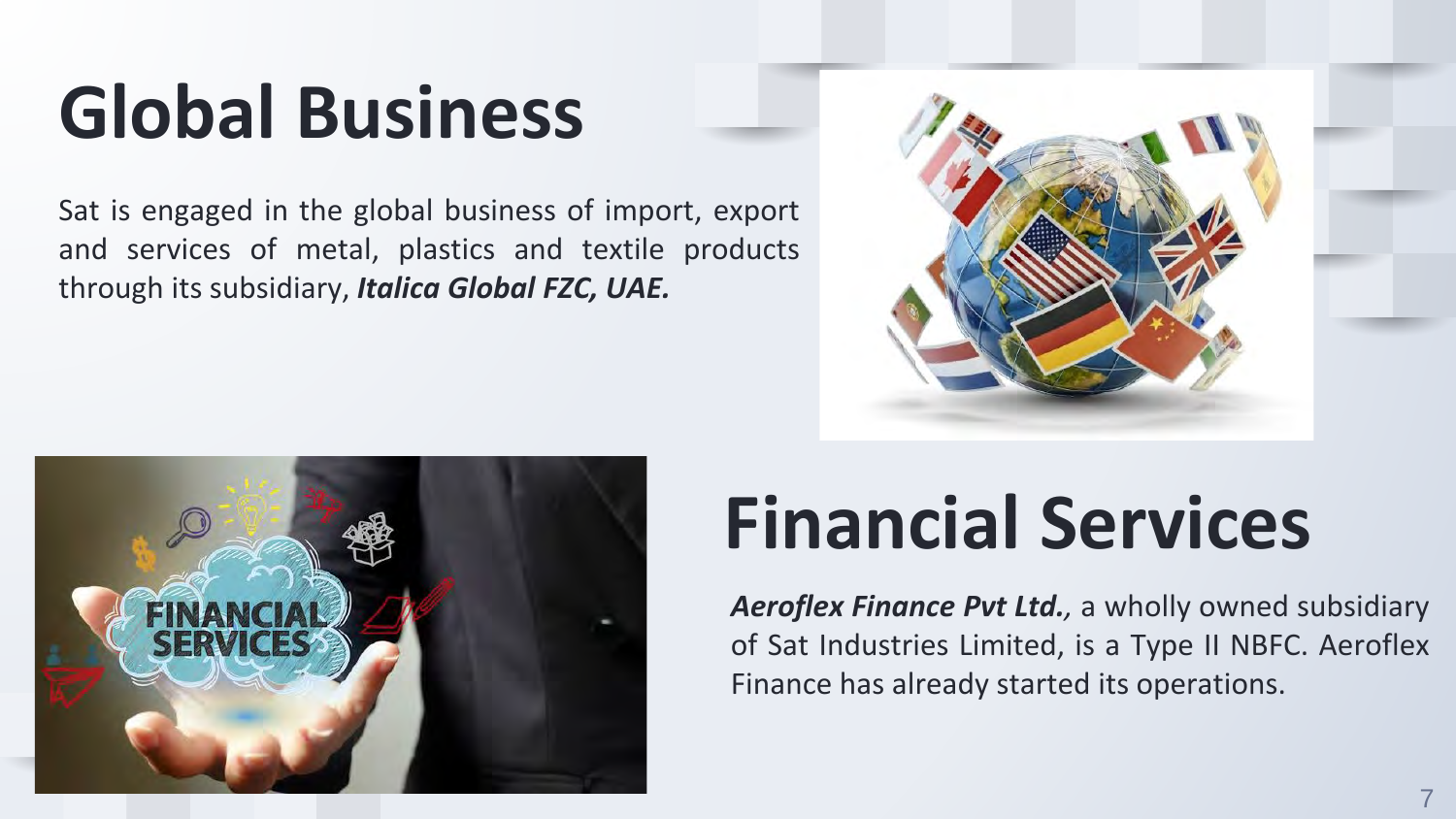# **Global Business**

Sat is engaged in the global business of import, export and services of metal, plastics and textile products through its subsidiary, *Italica Global FZC, UAE.*





### **Financial Services**

*Aeroflex Finance Pvt Ltd.,* a wholly owned subsidiary of Sat Industries Limited, is a Type II NBFC. Aeroflex Finance has already started its operations.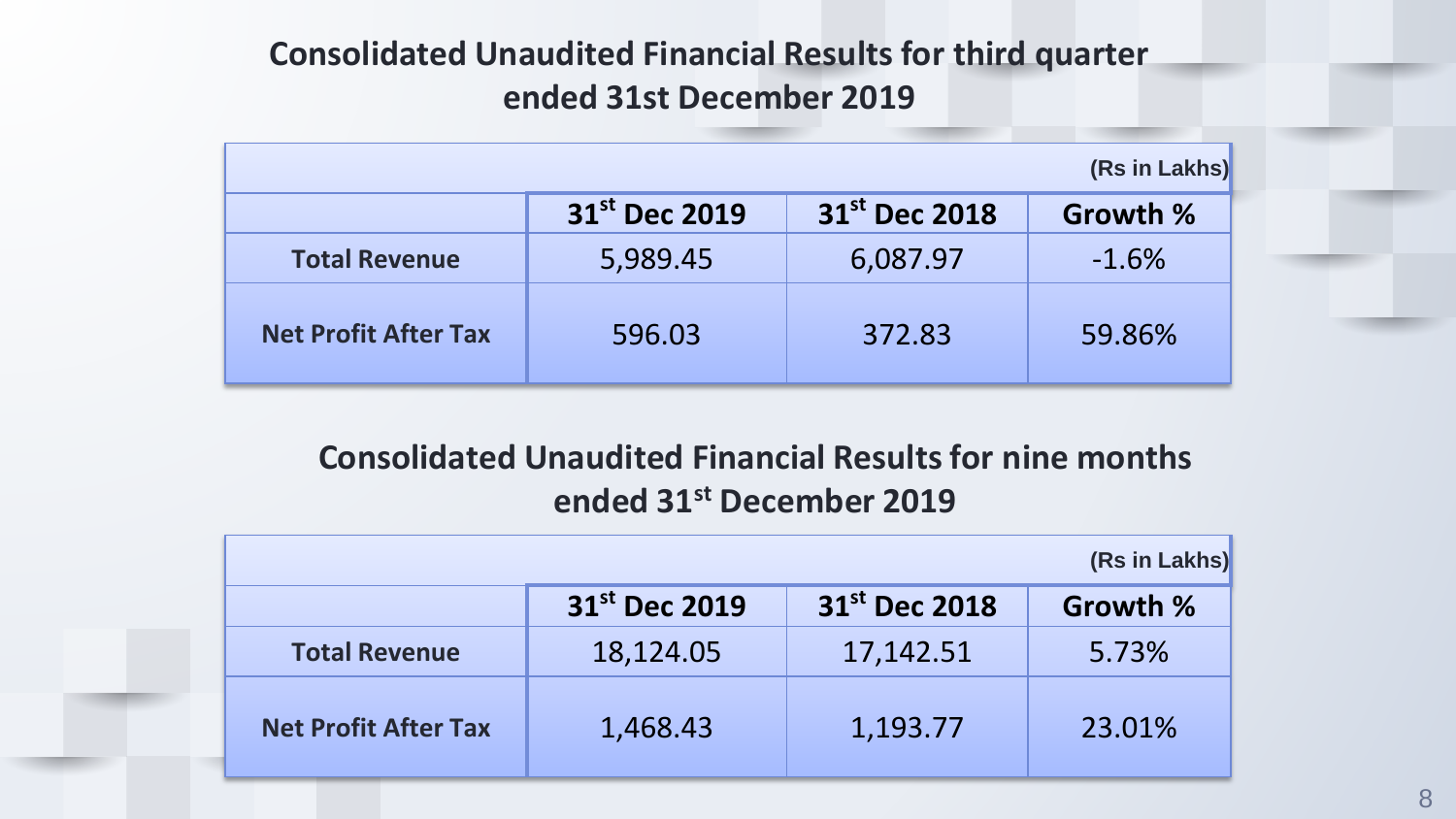### **Consolidated Unaudited Financial Results for third quarter ended 31st December 2019**

| (Rs in Lakhs)               |                           |                           |          |  |
|-----------------------------|---------------------------|---------------------------|----------|--|
|                             | 31 <sup>st</sup> Dec 2019 | 31 <sup>st</sup> Dec 2018 | Growth % |  |
| <b>Total Revenue</b>        | 5,989.45                  | 6,087.97                  | $-1.6%$  |  |
| <b>Net Profit After Tax</b> | 596.03                    | 372.83                    | 59.86%   |  |

### **Consolidated Unaudited Financial Results for nine months ended 31st December 2019**

| (Rs in Lakhs)               |                           |                           |          |  |
|-----------------------------|---------------------------|---------------------------|----------|--|
|                             | 31 <sup>st</sup> Dec 2019 | 31 <sup>st</sup> Dec 2018 | Growth % |  |
| <b>Total Revenue</b>        | 18,124.05                 | 17,142.51                 | 5.73%    |  |
| <b>Net Profit After Tax</b> | 1,468.43                  | 1,193.77                  | 23.01%   |  |